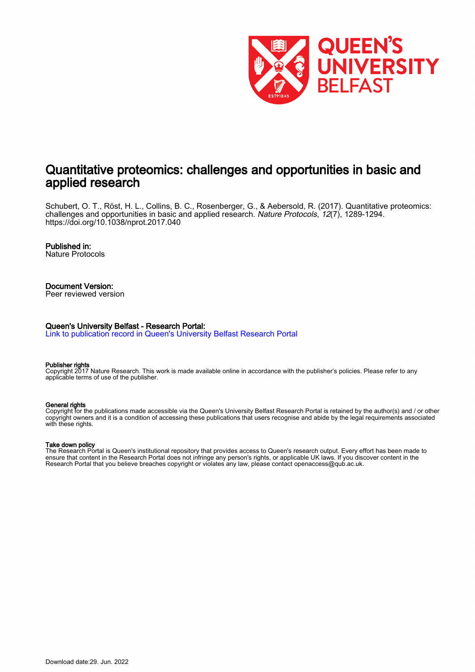

# Quantitative proteomics: challenges and opportunities in basic and applied research

Schubert, O. T., Röst, H. L., Collins, B. C., Rosenberger, G., & Aebersold, R. (2017). Quantitative proteomics: challenges and opportunities in basic and applied research. Nature Protocols, 12(7), 1289-1294. <https://doi.org/10.1038/nprot.2017.040>

#### Published in:

Nature Protocols

#### Document Version: Peer reviewed version

#### Queen's University Belfast - Research Portal:

[Link to publication record in Queen's University Belfast Research Portal](https://pure.qub.ac.uk/en/publications/0329865c-0297-4272-8997-8c6102c551e7)

#### Publisher rights

Copyright 2017 Nature Research. This work is made available online in accordance with the publisher's policies. Please refer to any applicable terms of use of the publisher.

#### General rights

Copyright for the publications made accessible via the Queen's University Belfast Research Portal is retained by the author(s) and / or other copyright owners and it is a condition of accessing these publications that users recognise and abide by the legal requirements associated with these rights.

#### Take down policy

The Research Portal is Queen's institutional repository that provides access to Queen's research output. Every effort has been made to ensure that content in the Research Portal does not infringe any person's rights, or applicable UK laws. If you discover content in the Research Portal that you believe breaches copyright or violates any law, please contact openaccess@qub.ac.uk.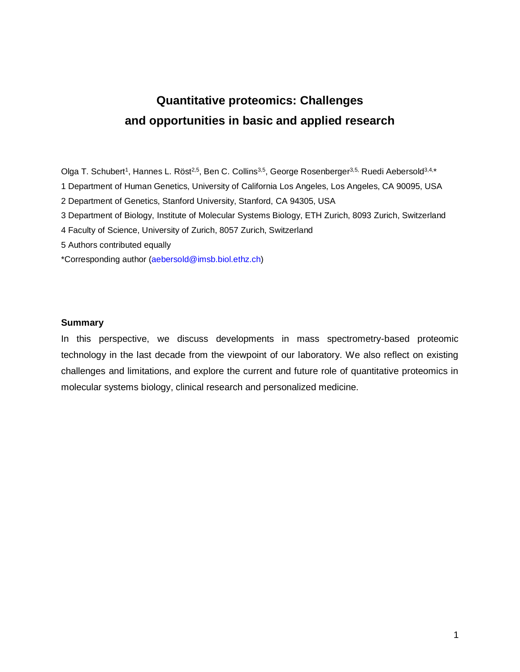# **Quantitative proteomics: Challenges and opportunities in basic and applied research**

Olga T. Schubert<sup>1</sup>, Hannes L. Röst<sup>2,5</sup>, Ben C. Collins<sup>3,5</sup>, George Rosenberger<sup>3,5,</sup> Ruedi Aebersold<sup>3,4,</sup>\*

1 Department of Human Genetics, University of California Los Angeles, Los Angeles, CA 90095, USA

2 Department of Genetics, Stanford University, Stanford, CA 94305, USA

3 Department of Biology, Institute of Molecular Systems Biology, ETH Zurich, 8093 Zurich, Switzerland

4 Faculty of Science, University of Zurich, 8057 Zurich, Switzerland

5 Authors contributed equally

\*Corresponding author [\(aebersold@imsb.biol.ethz.ch\)](mailto:aebersold@imsb.biol.ethz.ch)

## **Summary**

In this perspective, we discuss developments in mass spectrometry-based proteomic technology in the last decade from the viewpoint of our laboratory. We also reflect on existing challenges and limitations, and explore the current and future role of quantitative proteomics in molecular systems biology, clinical research and personalized medicine.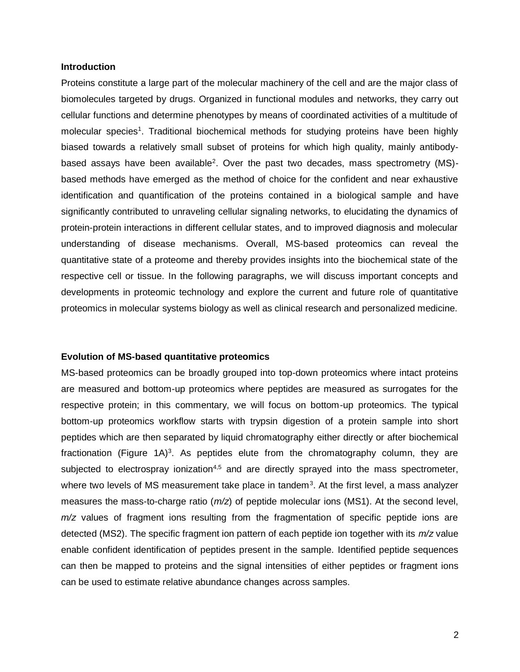#### **Introduction**

Proteins constitute a large part of the molecular machinery of the cell and are the major class of biomolecules targeted by drugs. Organized in functional modules and networks, they carry out cellular functions and determine phenotypes by means of coordinated activities of a multitude of molecular species<sup>1</sup>. Traditional biochemical methods for studying proteins have been highly biased towards a relatively small subset of proteins for which high quality, mainly antibodybased assays have been available<sup>2</sup>. Over the past two decades, mass spectrometry (MS)based methods have emerged as the method of choice for the confident and near exhaustive identification and quantification of the proteins contained in a biological sample and have significantly contributed to unraveling cellular signaling networks, to elucidating the dynamics of protein-protein interactions in different cellular states, and to improved diagnosis and molecular understanding of disease mechanisms. Overall, MS-based proteomics can reveal the quantitative state of a proteome and thereby provides insights into the biochemical state of the respective cell or tissue. In the following paragraphs, we will discuss important concepts and developments in proteomic technology and explore the current and future role of quantitative proteomics in molecular systems biology as well as clinical research and personalized medicine.

## **Evolution of MS-based quantitative proteomics**

MS-based proteomics can be broadly grouped into top-down proteomics where intact proteins are measured and bottom-up proteomics where peptides are measured as surrogates for the respective protein; in this commentary, we will focus on bottom-up proteomics. The typical bottom-up proteomics workflow starts with trypsin digestion of a protein sample into short peptides which are then separated by liquid chromatography either directly or after biochemical fractionation (Figure  $1A$ )<sup>3</sup>. As peptides elute from the chromatography column, they are subjected to electrospray ionization<sup>4,5</sup> and are directly sprayed into the mass spectrometer, where two levels of MS measurement take place in tandem<sup>3</sup>. At the first level, a mass analyzer measures the mass-to-charge ratio (*m/z*) of peptide molecular ions (MS1). At the second level, *m/z* values of fragment ions resulting from the fragmentation of specific peptide ions are detected (MS2). The specific fragment ion pattern of each peptide ion together with its *m/z* value enable confident identification of peptides present in the sample. Identified peptide sequences can then be mapped to proteins and the signal intensities of either peptides or fragment ions can be used to estimate relative abundance changes across samples.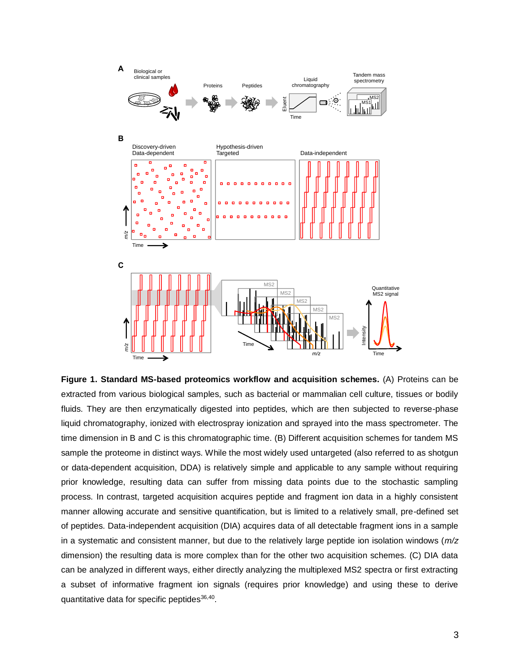

**Figure 1. Standard MS-based proteomics workflow and acquisition schemes.** (A) Proteins can be extracted from various biological samples, such as bacterial or mammalian cell culture, tissues or bodily fluids. They are then enzymatically digested into peptides, which are then subjected to reverse-phase liquid chromatography, ionized with electrospray ionization and sprayed into the mass spectrometer. The time dimension in B and C is this chromatographic time. (B) Different acquisition schemes for tandem MS sample the proteome in distinct ways. While the most widely used untargeted (also referred to as shotgun or data-dependent acquisition, DDA) is relatively simple and applicable to any sample without requiring prior knowledge, resulting data can suffer from missing data points due to the stochastic sampling process. In contrast, targeted acquisition acquires peptide and fragment ion data in a highly consistent manner allowing accurate and sensitive quantification, but is limited to a relatively small, pre-defined set of peptides. Data-independent acquisition (DIA) acquires data of all detectable fragment ions in a sample in a systematic and consistent manner, but due to the relatively large peptide ion isolation windows (*m/z* dimension) the resulting data is more complex than for the other two acquisition schemes. (C) DIA data can be analyzed in different ways, either directly analyzing the multiplexed MS2 spectra or first extracting a subset of informative fragment ion signals (requires prior knowledge) and using these to derive quantitative data for specific peptides<sup>36,40</sup>.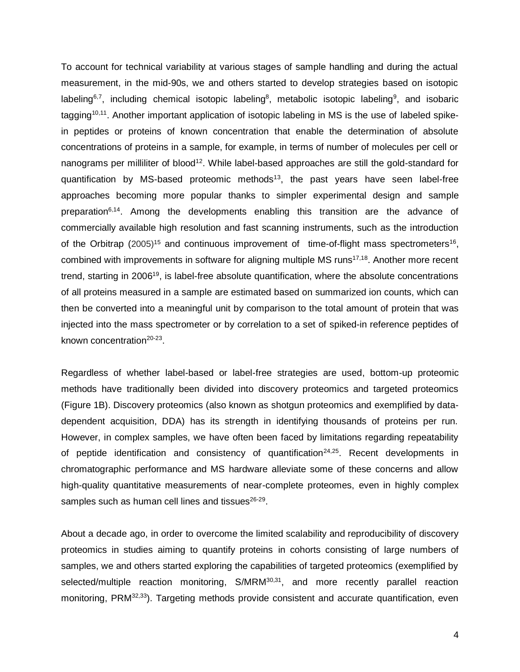To account for technical variability at various stages of sample handling and during the actual measurement, in the mid-90s, we and others started to develop strategies based on isotopic labeling<sup>6,7</sup>, including chemical isotopic labeling<sup>8</sup>, metabolic isotopic labeling<sup>9</sup>, and isobaric tagging<sup>10,11</sup>. Another important application of isotopic labeling in MS is the use of labeled spikein peptides or proteins of known concentration that enable the determination of absolute concentrations of proteins in a sample, for example, in terms of number of molecules per cell or nanograms per milliliter of blood<sup>12</sup>. While label-based approaches are still the gold-standard for quantification by MS-based proteomic methods<sup>13</sup>, the past years have seen label-free approaches becoming more popular thanks to simpler experimental design and sample preparation<sup>6,14</sup>. Among the developments enabling this transition are the advance of commercially available high resolution and fast scanning instruments, such as the introduction of the Orbitrap (2005)<sup>15</sup> and continuous improvement of time-of-flight mass spectrometers<sup>16</sup>, combined with improvements in software for aligning multiple MS runs<sup>17,18</sup>. Another more recent trend, starting in 2006<sup>19</sup>, is label-free absolute quantification, where the absolute concentrations of all proteins measured in a sample are estimated based on summarized ion counts, which can then be converted into a meaningful unit by comparison to the total amount of protein that was injected into the mass spectrometer or by correlation to a set of spiked-in reference peptides of known concentration<sup>20-23</sup>.

Regardless of whether label-based or label-free strategies are used, bottom-up proteomic methods have traditionally been divided into discovery proteomics and targeted proteomics (Figure 1B). Discovery proteomics (also known as shotgun proteomics and exemplified by datadependent acquisition, DDA) has its strength in identifying thousands of proteins per run. However, in complex samples, we have often been faced by limitations regarding repeatability of peptide identification and consistency of quantification<sup>24,25</sup>. Recent developments in chromatographic performance and MS hardware alleviate some of these concerns and allow high-quality quantitative measurements of near-complete proteomes, even in highly complex samples such as human cell lines and tissues<sup>26-29</sup>.

About a decade ago, in order to overcome the limited scalability and reproducibility of discovery proteomics in studies aiming to quantify proteins in cohorts consisting of large numbers of samples, we and others started exploring the capabilities of targeted proteomics (exemplified by selected/multiple reaction monitoring, S/MRM<sup>30,31</sup>, and more recently parallel reaction monitoring, PRM<sup>32,33</sup>). Targeting methods provide consistent and accurate quantification, even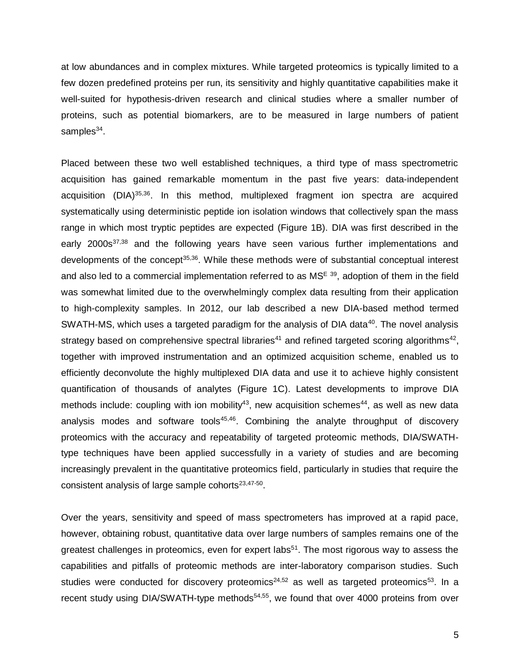at low abundances and in complex mixtures. While targeted proteomics is typically limited to a few dozen predefined proteins per run, its sensitivity and highly quantitative capabilities make it well-suited for hypothesis-driven research and clinical studies where a smaller number of proteins, such as potential biomarkers, are to be measured in large numbers of patient samples<sup>34</sup>.

Placed between these two well established techniques, a third type of mass spectrometric acquisition has gained remarkable momentum in the past five years: data-independent acquisition (DIA)<sup>35,36</sup>. In this method, multiplexed fragment ion spectra are acquired systematically using deterministic peptide ion isolation windows that collectively span the mass range in which most tryptic peptides are expected (Figure 1B). DIA was first described in the early 2000s<sup>37,38</sup> and the following years have seen various further implementations and developments of the concept<sup>35,36</sup>. While these methods were of substantial conceptual interest and also led to a commercial implementation referred to as MS<sup>E 39</sup>, adoption of them in the field was somewhat limited due to the overwhelmingly complex data resulting from their application to high-complexity samples. In 2012, our lab described a new DIA-based method termed SWATH-MS, which uses a targeted paradigm for the analysis of DIA data<sup>40</sup>. The novel analysis strategy based on comprehensive spectral libraries<sup>41</sup> and refined targeted scoring algorithms<sup>42</sup>, together with improved instrumentation and an optimized acquisition scheme, enabled us to efficiently deconvolute the highly multiplexed DIA data and use it to achieve highly consistent quantification of thousands of analytes (Figure 1C). Latest developments to improve DIA methods include: coupling with ion mobility<sup>43</sup>, new acquisition schemes<sup>44</sup>, as well as new data analysis modes and software tools<sup>45,46</sup>. Combining the analyte throughput of discovery proteomics with the accuracy and repeatability of targeted proteomic methods, DIA/SWATHtype techniques have been applied successfully in a variety of studies and are becoming increasingly prevalent in the quantitative proteomics field, particularly in studies that require the consistent analysis of large sample cohorts $23,47-50$ .

Over the years, sensitivity and speed of mass spectrometers has improved at a rapid pace, however, obtaining robust, quantitative data over large numbers of samples remains one of the greatest challenges in proteomics, even for expert labs<sup>51</sup>. The most rigorous way to assess the capabilities and pitfalls of proteomic methods are inter-laboratory comparison studies. Such studies were conducted for discovery proteomics<sup>24,52</sup> as well as targeted proteomics<sup>53</sup>. In a recent study using DIA/SWATH-type methods<sup>54,55</sup>, we found that over 4000 proteins from over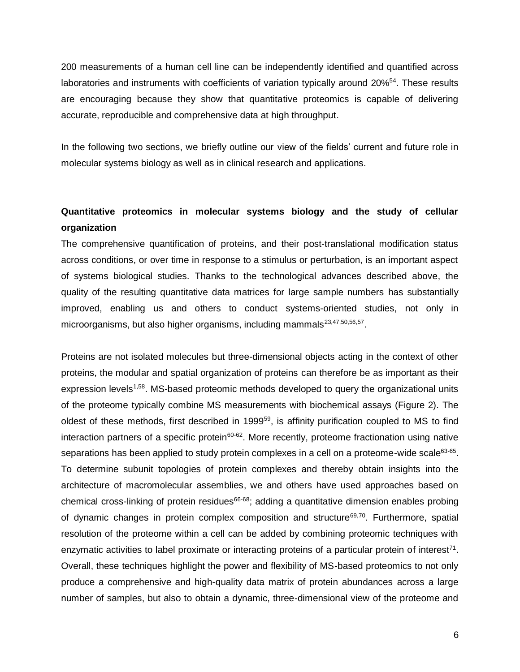200 measurements of a human cell line can be independently identified and quantified across laboratories and instruments with coefficients of variation typically around 20%<sup>54</sup>. These results are encouraging because they show that quantitative proteomics is capable of delivering accurate, reproducible and comprehensive data at high throughput.

In the following two sections, we briefly outline our view of the fields' current and future role in molecular systems biology as well as in clinical research and applications.

## **Quantitative proteomics in molecular systems biology and the study of cellular organization**

The comprehensive quantification of proteins, and their post-translational modification status across conditions, or over time in response to a stimulus or perturbation, is an important aspect of systems biological studies. Thanks to the technological advances described above, the quality of the resulting quantitative data matrices for large sample numbers has substantially improved, enabling us and others to conduct systems-oriented studies, not only in microorganisms, but also higher organisms, including mammals<sup>23,47,50,56,57</sup>.

Proteins are not isolated molecules but three-dimensional objects acting in the context of other proteins, the modular and spatial organization of proteins can therefore be as important as their expression levels<sup>1,58</sup>. MS-based proteomic methods developed to query the organizational units of the proteome typically combine MS measurements with biochemical assays (Figure 2). The oldest of these methods, first described in 1999<sup>59</sup>, is affinity purification coupled to MS to find interaction partners of a specific protein<sup>60-62</sup>. More recently, proteome fractionation using native separations has been applied to study protein complexes in a cell on a proteome-wide scale $63-65$ . To determine subunit topologies of protein complexes and thereby obtain insights into the architecture of macromolecular assemblies, we and others have used approaches based on chemical cross-linking of protein residues<sup>66-68</sup>; adding a quantitative dimension enables probing of dynamic changes in protein complex composition and structure<sup>69,70</sup>. Furthermore, spatial resolution of the proteome within a cell can be added by combining proteomic techniques with enzymatic activities to label proximate or interacting proteins of a particular protein of interest<sup>71</sup>. Overall, these techniques highlight the power and flexibility of MS-based proteomics to not only produce a comprehensive and high-quality data matrix of protein abundances across a large number of samples, but also to obtain a dynamic, three-dimensional view of the proteome and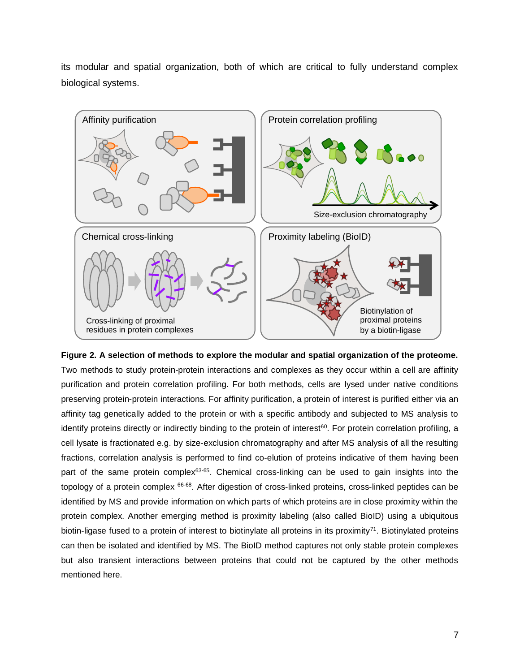its modular and spatial organization, both of which are critical to fully understand complex biological systems.



**Figure 2. A selection of methods to explore the modular and spatial organization of the proteome.** Two methods to study protein-protein interactions and complexes as they occur within a cell are affinity purification and protein correlation profiling. For both methods, cells are lysed under native conditions preserving protein-protein interactions. For affinity purification, a protein of interest is purified either via an affinity tag genetically added to the protein or with a specific antibody and subjected to MS analysis to identify proteins directly or indirectly binding to the protein of interest<sup>60</sup>. For protein correlation profiling, a cell lysate is fractionated e.g. by size-exclusion chromatography and after MS analysis of all the resulting fractions, correlation analysis is performed to find co-elution of proteins indicative of them having been part of the same protein complex<sup>63-65</sup>. Chemical cross-linking can be used to gain insights into the topology of a protein complex 66-68. After digestion of cross-linked proteins, cross-linked peptides can be identified by MS and provide information on which parts of which proteins are in close proximity within the protein complex. Another emerging method is proximity labeling (also called BioID) using a ubiquitous biotin-ligase fused to a protein of interest to biotinylate all proteins in its proximity<sup>71</sup>. Biotinylated proteins can then be isolated and identified by MS. The BioID method captures not only stable protein complexes but also transient interactions between proteins that could not be captured by the other methods mentioned here.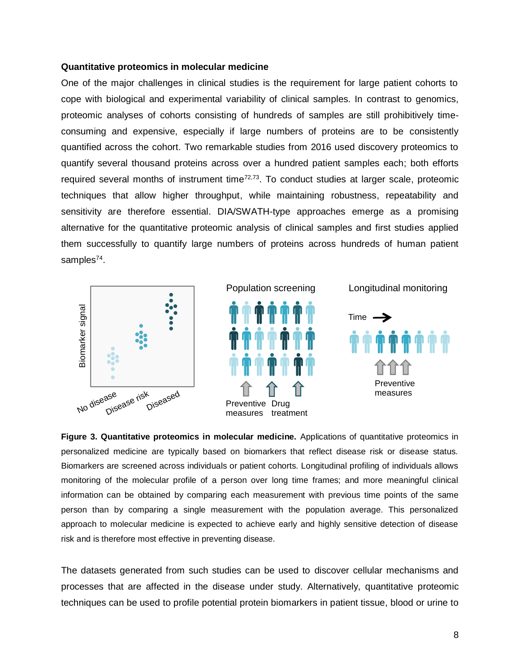#### **Quantitative proteomics in molecular medicine**

One of the major challenges in clinical studies is the requirement for large patient cohorts to cope with biological and experimental variability of clinical samples. In contrast to genomics, proteomic analyses of cohorts consisting of hundreds of samples are still prohibitively timeconsuming and expensive, especially if large numbers of proteins are to be consistently quantified across the cohort. Two remarkable studies from 2016 used discovery proteomics to quantify several thousand proteins across over a hundred patient samples each; both efforts required several months of instrument time<sup>72,73</sup>. To conduct studies at larger scale, proteomic techniques that allow higher throughput, while maintaining robustness, repeatability and sensitivity are therefore essential. DIA/SWATH-type approaches emerge as a promising alternative for the quantitative proteomic analysis of clinical samples and first studies applied them successfully to quantify large numbers of proteins across hundreds of human patient samples<sup>74</sup>.





Longitudinal monitoring



**Figure 3. Quantitative proteomics in molecular medicine.** Applications of quantitative proteomics in personalized medicine are typically based on biomarkers that reflect disease risk or disease status. Biomarkers are screened across individuals or patient cohorts. Longitudinal profiling of individuals allows monitoring of the molecular profile of a person over long time frames; and more meaningful clinical information can be obtained by comparing each measurement with previous time points of the same person than by comparing a single measurement with the population average. This personalized approach to molecular medicine is expected to achieve early and highly sensitive detection of disease risk and is therefore most effective in preventing disease.

The datasets generated from such studies can be used to discover cellular mechanisms and processes that are affected in the disease under study. Alternatively, quantitative proteomic techniques can be used to profile potential protein biomarkers in patient tissue, blood or urine to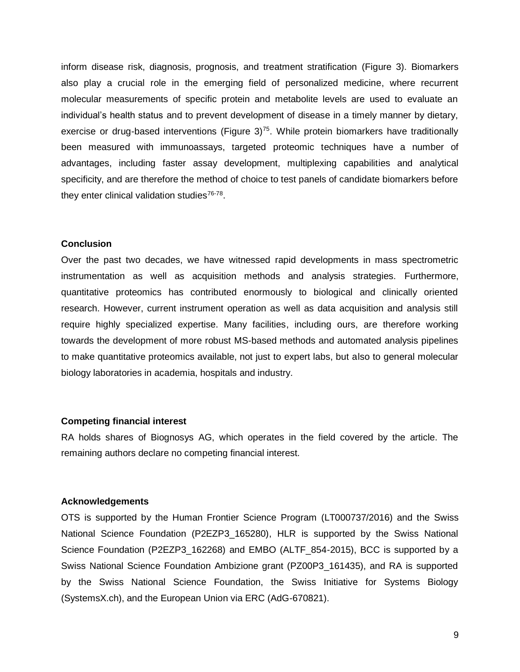inform disease risk, diagnosis, prognosis, and treatment stratification (Figure 3). Biomarkers also play a crucial role in the emerging field of personalized medicine, where recurrent molecular measurements of specific protein and metabolite levels are used to evaluate an individual's health status and to prevent development of disease in a timely manner by dietary, exercise or drug-based interventions (Figure  $3$ )<sup>75</sup>. While protein biomarkers have traditionally been measured with immunoassays, targeted proteomic techniques have a number of advantages, including faster assay development, multiplexing capabilities and analytical specificity, and are therefore the method of choice to test panels of candidate biomarkers before they enter clinical validation studies<sup>76-78</sup>.

## **Conclusion**

Over the past two decades, we have witnessed rapid developments in mass spectrometric instrumentation as well as acquisition methods and analysis strategies. Furthermore, quantitative proteomics has contributed enormously to biological and clinically oriented research. However, current instrument operation as well as data acquisition and analysis still require highly specialized expertise. Many facilities, including ours, are therefore working towards the development of more robust MS-based methods and automated analysis pipelines to make quantitative proteomics available, not just to expert labs, but also to general molecular biology laboratories in academia, hospitals and industry.

#### **Competing financial interest**

RA holds shares of Biognosys AG, which operates in the field covered by the article. The remaining authors declare no competing financial interest.

#### **Acknowledgements**

OTS is supported by the Human Frontier Science Program (LT000737/2016) and the Swiss National Science Foundation (P2EZP3 165280), HLR is supported by the Swiss National Science Foundation (P2EZP3\_162268) and EMBO (ALTF\_854-2015), BCC is supported by a Swiss National Science Foundation Ambizione grant (PZ00P3\_161435), and RA is supported by the Swiss National Science Foundation, the Swiss Initiative for Systems Biology (SystemsX.ch), and the European Union via ERC (AdG-670821).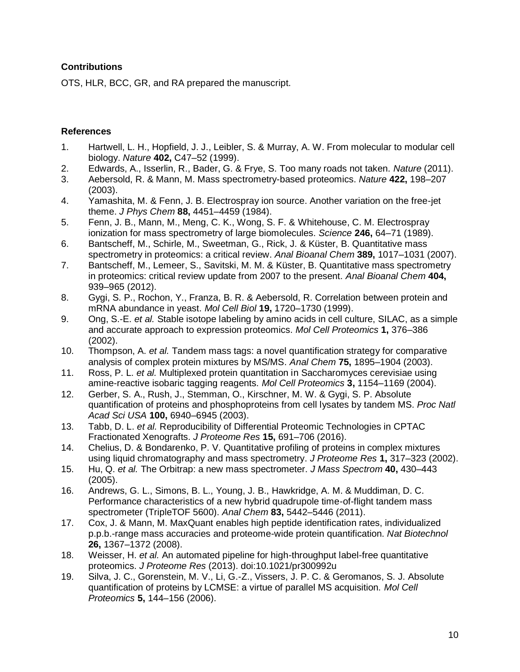## **Contributions**

OTS, HLR, BCC, GR, and RA prepared the manuscript.

## **References**

- 1. Hartwell, L. H., Hopfield, J. J., Leibler, S. & Murray, A. W. From molecular to modular cell biology. *Nature* **402,** C47–52 (1999).
- 2. Edwards, A., Isserlin, R., Bader, G. & Frye, S. Too many roads not taken. *Nature* (2011).
- 3. Aebersold, R. & Mann, M. Mass spectrometry-based proteomics. *Nature* **422,** 198–207 (2003).
- 4. Yamashita, M. & Fenn, J. B. Electrospray ion source. Another variation on the free-jet theme. *J Phys Chem* **88,** 4451–4459 (1984).
- 5. Fenn, J. B., Mann, M., Meng, C. K., Wong, S. F. & Whitehouse, C. M. Electrospray ionization for mass spectrometry of large biomolecules. *Science* **246,** 64–71 (1989).
- 6. Bantscheff, M., Schirle, M., Sweetman, G., Rick, J. & Küster, B. Quantitative mass spectrometry in proteomics: a critical review. *Anal Bioanal Chem* **389,** 1017–1031 (2007).
- 7. Bantscheff, M., Lemeer, S., Savitski, M. M. & Küster, B. Quantitative mass spectrometry in proteomics: critical review update from 2007 to the present. *Anal Bioanal Chem* **404,** 939–965 (2012).
- 8. Gygi, S. P., Rochon, Y., Franza, B. R. & Aebersold, R. Correlation between protein and mRNA abundance in yeast. *Mol Cell Biol* **19,** 1720–1730 (1999).
- 9. Ong, S.-E. *et al.* Stable isotope labeling by amino acids in cell culture, SILAC, as a simple and accurate approach to expression proteomics. *Mol Cell Proteomics* **1,** 376–386 (2002).
- 10. Thompson, A. *et al.* Tandem mass tags: a novel quantification strategy for comparative analysis of complex protein mixtures by MS/MS. *Anal Chem* **75,** 1895–1904 (2003).
- 11. Ross, P. L. *et al.* Multiplexed protein quantitation in Saccharomyces cerevisiae using amine-reactive isobaric tagging reagents. *Mol Cell Proteomics* **3,** 1154–1169 (2004).
- 12. Gerber, S. A., Rush, J., Stemman, O., Kirschner, M. W. & Gygi, S. P. Absolute quantification of proteins and phosphoproteins from cell lysates by tandem MS. *Proc Natl Acad Sci USA* **100,** 6940–6945 (2003).
- 13. Tabb, D. L. *et al.* Reproducibility of Differential Proteomic Technologies in CPTAC Fractionated Xenografts. *J Proteome Res* **15,** 691–706 (2016).
- 14. Chelius, D. & Bondarenko, P. V. Quantitative profiling of proteins in complex mixtures using liquid chromatography and mass spectrometry. *J Proteome Res* **1,** 317–323 (2002).
- 15. Hu, Q. *et al.* The Orbitrap: a new mass spectrometer. *J Mass Spectrom* **40,** 430–443 (2005).
- 16. Andrews, G. L., Simons, B. L., Young, J. B., Hawkridge, A. M. & Muddiman, D. C. Performance characteristics of a new hybrid quadrupole time-of-flight tandem mass spectrometer (TripleTOF 5600). *Anal Chem* **83,** 5442–5446 (2011).
- 17. Cox, J. & Mann, M. MaxQuant enables high peptide identification rates, individualized p.p.b.-range mass accuracies and proteome-wide protein quantification. *Nat Biotechnol* **26,** 1367–1372 (2008).
- 18. Weisser, H. *et al.* An automated pipeline for high-throughput label-free quantitative proteomics. *J Proteome Res* (2013). doi:10.1021/pr300992u
- 19. Silva, J. C., Gorenstein, M. V., Li, G.-Z., Vissers, J. P. C. & Geromanos, S. J. Absolute quantification of proteins by LCMSE: a virtue of parallel MS acquisition. *Mol Cell Proteomics* **5,** 144–156 (2006).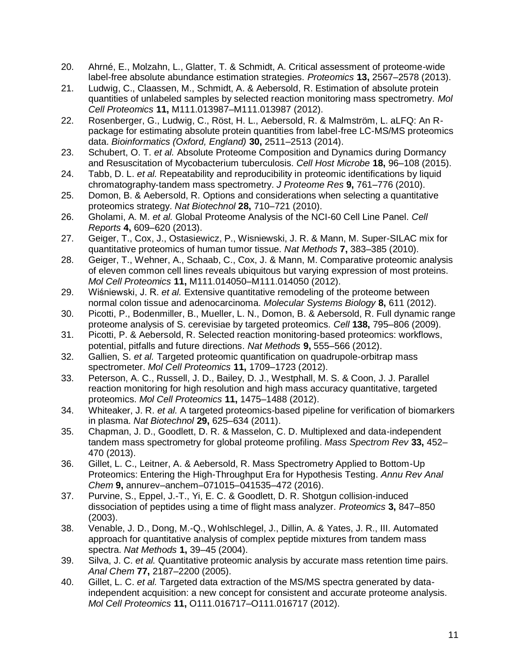- 20. Ahrné, E., Molzahn, L., Glatter, T. & Schmidt, A. Critical assessment of proteome-wide label-free absolute abundance estimation strategies. *Proteomics* **13,** 2567–2578 (2013).
- 21. Ludwig, C., Claassen, M., Schmidt, A. & Aebersold, R. Estimation of absolute protein quantities of unlabeled samples by selected reaction monitoring mass spectrometry. *Mol Cell Proteomics* **11,** M111.013987–M111.013987 (2012).
- 22. Rosenberger, G., Ludwig, C., Röst, H. L., Aebersold, R. & Malmström, L. aLFQ: An Rpackage for estimating absolute protein quantities from label-free LC-MS/MS proteomics data. *Bioinformatics (Oxford, England)* **30,** 2511–2513 (2014).
- 23. Schubert, O. T. *et al.* Absolute Proteome Composition and Dynamics during Dormancy and Resuscitation of Mycobacterium tuberculosis. *Cell Host Microbe* **18,** 96–108 (2015).
- 24. Tabb, D. L. *et al.* Repeatability and reproducibility in proteomic identifications by liquid chromatography-tandem mass spectrometry. *J Proteome Res* **9,** 761–776 (2010).
- 25. Domon, B. & Aebersold, R. Options and considerations when selecting a quantitative proteomics strategy. *Nat Biotechnol* **28,** 710–721 (2010).
- 26. Gholami, A. M. *et al.* Global Proteome Analysis of the NCI-60 Cell Line Panel. *Cell Reports* **4,** 609–620 (2013).
- 27. Geiger, T., Cox, J., Ostasiewicz, P., Wisniewski, J. R. & Mann, M. Super-SILAC mix for quantitative proteomics of human tumor tissue. *Nat Methods* **7,** 383–385 (2010).
- 28. Geiger, T., Wehner, A., Schaab, C., Cox, J. & Mann, M. Comparative proteomic analysis of eleven common cell lines reveals ubiquitous but varying expression of most proteins. *Mol Cell Proteomics* **11,** M111.014050–M111.014050 (2012).
- 29. Wiśniewski, J. R. *et al.* Extensive quantitative remodeling of the proteome between normal colon tissue and adenocarcinoma. *Molecular Systems Biology* **8,** 611 (2012).
- 30. Picotti, P., Bodenmiller, B., Mueller, L. N., Domon, B. & Aebersold, R. Full dynamic range proteome analysis of S. cerevisiae by targeted proteomics. *Cell* **138,** 795–806 (2009).
- 31. Picotti, P. & Aebersold, R. Selected reaction monitoring-based proteomics: workflows, potential, pitfalls and future directions. *Nat Methods* **9,** 555–566 (2012).
- 32. Gallien, S. *et al.* Targeted proteomic quantification on quadrupole-orbitrap mass spectrometer. *Mol Cell Proteomics* **11,** 1709–1723 (2012).
- 33. Peterson, A. C., Russell, J. D., Bailey, D. J., Westphall, M. S. & Coon, J. J. Parallel reaction monitoring for high resolution and high mass accuracy quantitative, targeted proteomics. *Mol Cell Proteomics* **11,** 1475–1488 (2012).
- 34. Whiteaker, J. R. *et al.* A targeted proteomics-based pipeline for verification of biomarkers in plasma. *Nat Biotechnol* **29,** 625–634 (2011).
- 35. Chapman, J. D., Goodlett, D. R. & Masselon, C. D. Multiplexed and data-independent tandem mass spectrometry for global proteome profiling. *Mass Spectrom Rev* **33,** 452– 470 (2013).
- 36. Gillet, L. C., Leitner, A. & Aebersold, R. Mass Spectrometry Applied to Bottom-Up Proteomics: Entering the High-Throughput Era for Hypothesis Testing. *Annu Rev Anal Chem* **9,** annurev–anchem–071015–041535–472 (2016).
- 37. Purvine, S., Eppel, J.-T., Yi, E. C. & Goodlett, D. R. Shotgun collision-induced dissociation of peptides using a time of flight mass analyzer. *Proteomics* **3,** 847–850 (2003).
- 38. Venable, J. D., Dong, M.-Q., Wohlschlegel, J., Dillin, A. & Yates, J. R., III. Automated approach for quantitative analysis of complex peptide mixtures from tandem mass spectra. *Nat Methods* **1,** 39–45 (2004).
- 39. Silva, J. C. *et al.* Quantitative proteomic analysis by accurate mass retention time pairs. *Anal Chem* **77,** 2187–2200 (2005).
- 40. Gillet, L. C. *et al.* Targeted data extraction of the MS/MS spectra generated by dataindependent acquisition: a new concept for consistent and accurate proteome analysis. *Mol Cell Proteomics* **11,** O111.016717–O111.016717 (2012).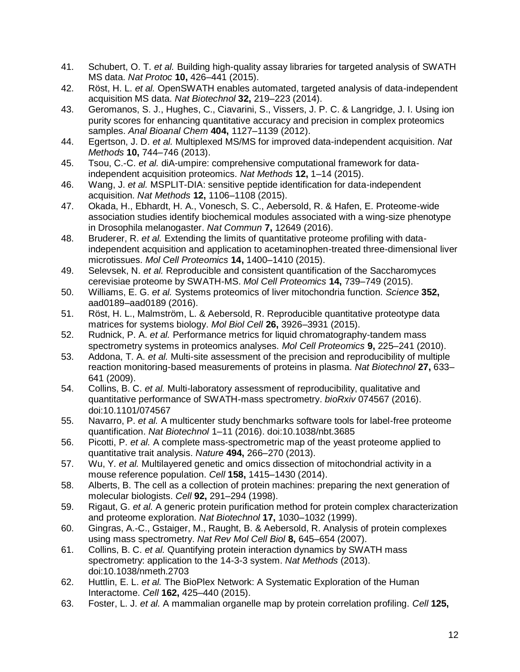- 41. Schubert, O. T. *et al.* Building high-quality assay libraries for targeted analysis of SWATH MS data. *Nat Protoc* **10,** 426–441 (2015).
- 42. Röst, H. L. *et al.* OpenSWATH enables automated, targeted analysis of data-independent acquisition MS data. *Nat Biotechnol* **32,** 219–223 (2014).
- 43. Geromanos, S. J., Hughes, C., Ciavarini, S., Vissers, J. P. C. & Langridge, J. I. Using ion purity scores for enhancing quantitative accuracy and precision in complex proteomics samples. *Anal Bioanal Chem* **404,** 1127–1139 (2012).
- 44. Egertson, J. D. *et al.* Multiplexed MS/MS for improved data-independent acquisition. *Nat Methods* **10,** 744–746 (2013).
- 45. Tsou, C.-C. *et al.* diA-umpire: comprehensive computational framework for dataindependent acquisition proteomics. *Nat Methods* **12,** 1–14 (2015).
- 46. Wang, J. *et al.* MSPLIT-DIA: sensitive peptide identification for data-independent acquisition. *Nat Methods* **12,** 1106–1108 (2015).
- 47. Okada, H., Ebhardt, H. A., Vonesch, S. C., Aebersold, R. & Hafen, E. Proteome-wide association studies identify biochemical modules associated with a wing-size phenotype in Drosophila melanogaster. *Nat Commun* **7,** 12649 (2016).
- 48. Bruderer, R. *et al.* Extending the limits of quantitative proteome profiling with dataindependent acquisition and application to acetaminophen-treated three-dimensional liver microtissues. *Mol Cell Proteomics* **14,** 1400–1410 (2015).
- 49. Selevsek, N. *et al.* Reproducible and consistent quantification of the Saccharomyces cerevisiae proteome by SWATH-MS. *Mol Cell Proteomics* **14,** 739–749 (2015).
- 50. Williams, E. G. *et al.* Systems proteomics of liver mitochondria function. *Science* **352,** aad0189–aad0189 (2016).
- 51. Röst, H. L., Malmström, L. & Aebersold, R. Reproducible quantitative proteotype data matrices for systems biology. *Mol Biol Cell* **26,** 3926–3931 (2015).
- 52. Rudnick, P. A. *et al.* Performance metrics for liquid chromatography-tandem mass spectrometry systems in proteomics analyses. *Mol Cell Proteomics* **9,** 225–241 (2010).
- 53. Addona, T. A. *et al.* Multi-site assessment of the precision and reproducibility of multiple reaction monitoring-based measurements of proteins in plasma. *Nat Biotechnol* **27,** 633– 641 (2009).
- 54. Collins, B. C. *et al.* Multi-laboratory assessment of reproducibility, qualitative and quantitative performance of SWATH-mass spectrometry. *bioRxiv* 074567 (2016). doi:10.1101/074567
- 55. Navarro, P. *et al.* A multicenter study benchmarks software tools for label-free proteome quantification. *Nat Biotechnol* 1–11 (2016). doi:10.1038/nbt.3685
- 56. Picotti, P. *et al.* A complete mass-spectrometric map of the yeast proteome applied to quantitative trait analysis. *Nature* **494,** 266–270 (2013).
- 57. Wu, Y. *et al.* Multilayered genetic and omics dissection of mitochondrial activity in a mouse reference population. *Cell* **158,** 1415–1430 (2014).
- 58. Alberts, B. The cell as a collection of protein machines: preparing the next generation of molecular biologists. *Cell* **92,** 291–294 (1998).
- 59. Rigaut, G. *et al.* A generic protein purification method for protein complex characterization and proteome exploration. *Nat Biotechnol* **17,** 1030–1032 (1999).
- 60. Gingras, A.-C., Gstaiger, M., Raught, B. & Aebersold, R. Analysis of protein complexes using mass spectrometry. *Nat Rev Mol Cell Biol* **8,** 645–654 (2007).
- 61. Collins, B. C. *et al.* Quantifying protein interaction dynamics by SWATH mass spectrometry: application to the 14-3-3 system. *Nat Methods* (2013). doi:10.1038/nmeth.2703
- 62. Huttlin, E. L. *et al.* The BioPlex Network: A Systematic Exploration of the Human Interactome. *Cell* **162,** 425–440 (2015).
- 63. Foster, L. J. *et al.* A mammalian organelle map by protein correlation profiling. *Cell* **125,**